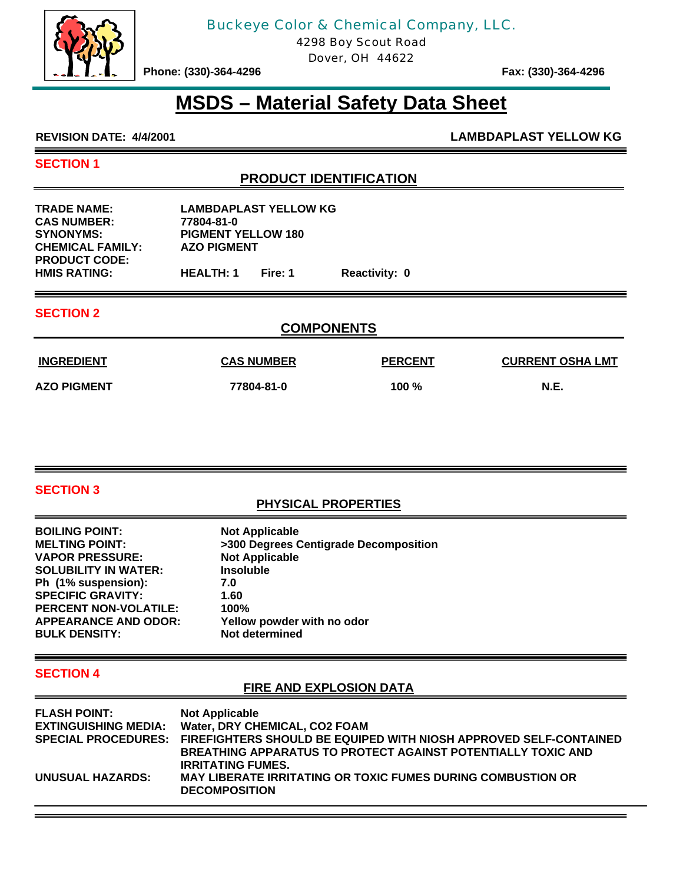

# Buckeye Color & Chemical Company, LLC.

4298 Boy Scout Road

Dover, OH 44622

Phone: (330)-364-4296 **Fax: (330)-364-4296** 

# **MSDS – Material Safety Data Sheet**

**REVISION DATE: 4/4/2001 LAMBDAPLAST YELLOW KG**

#### **SECTION 1**

Ξ

# **PRODUCT IDENTIFICATION**

| <b>TRADE NAME:</b><br><b>CAS NUMBER:</b> | <b>LAMBDAPLAST YELLOW KG</b><br>77804-81-0 |         |                      |
|------------------------------------------|--------------------------------------------|---------|----------------------|
| <b>SYNONYMS:</b>                         | <b>PIGMENT YELLOW 180</b>                  |         |                      |
| <b>CHEMICAL FAMILY:</b>                  | <b>AZO PIGMENT</b>                         |         |                      |
| <b>PRODUCT CODE:</b>                     |                                            |         |                      |
| <b>HMIS RATING:</b>                      | <b>HEALTH: 1</b>                           | Fire: 1 | <b>Reactivity: 0</b> |

#### **SECTION 2**

# **COMPONENTS**

| <b>INGREDIENT</b>  | <b>CAS NUMBER</b> | <b>PERCENT</b> | <b>CURRENT OSHA LMT</b> |
|--------------------|-------------------|----------------|-------------------------|
| <b>AZO PIGMENT</b> | 77804-81-0        | 100 $%$        | <b>N.E.</b>             |

#### **SECTION 3**

# **PHYSICAL PROPERTIES**

| <b>BOILING POINT:</b>        | <b>Not Applicable</b>                 |
|------------------------------|---------------------------------------|
| <b>MELTING POINT:</b>        | >300 Degrees Centigrade Decomposition |
| <b>VAPOR PRESSURE:</b>       | <b>Not Applicable</b>                 |
| <b>SOLUBILITY IN WATER:</b>  | <b>Insoluble</b>                      |
| Ph (1% suspension):          | 7.0                                   |
| <b>SPECIFIC GRAVITY:</b>     | 1.60                                  |
| <b>PERCENT NON-VOLATILE:</b> | 100%                                  |
| <b>APPEARANCE AND ODOR:</b>  | Yellow powder with no odor            |
| <b>BULK DENSITY:</b>         | Not determined                        |

#### <u> The Communication of the Communication of</u> **SECTION 4**

## **FIRE AND EXPLOSION DATA**

| SPECIAL PROCEDURES: FIREFIGHTERS SHOULD BE EQUIPED WITH NIOSH APPROVED SELF-CONTAINED |
|---------------------------------------------------------------------------------------|
|                                                                                       |
|                                                                                       |
|                                                                                       |
|                                                                                       |
|                                                                                       |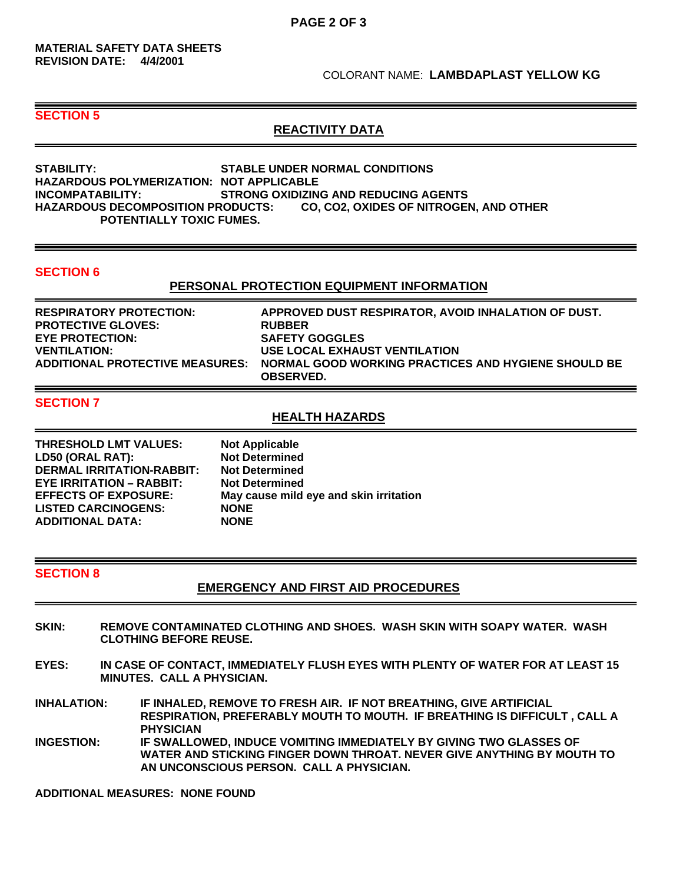#### COLORANT NAME: **LAMBDAPLAST YELLOW KG**

#### **SECTION 5**

### **REACTIVITY DATA**

**STABILITY: STABLE UNDER NORMAL CONDITIONS HAZARDOUS POLYMERIZATION: NOT APPLICABLE INCOMPATABILITY: STRONG OXIDIZING AND REDUCING AGENTS HAZARDOUS DECOMPOSITION PRODUCTS: CO, CO2, OXIDES OF NITROGEN, AND OTHER POTENTIALLY TOXIC FUMES.** 

#### **SECTION 6**

#### **PERSONAL PROTECTION EQUIPMENT INFORMATION**

| <b>RESPIRATORY PROTECTION:</b>         | APPROVED DUST RESPIRATOR. AVOID INHALATION OF DUST.                     |
|----------------------------------------|-------------------------------------------------------------------------|
| <b>PROTECTIVE GLOVES:</b>              | <b>RUBBER</b>                                                           |
| <b>EYE PROTECTION:</b>                 | <b>SAFETY GOGGLES</b>                                                   |
| <b>VENTILATION:</b>                    | USE LOCAL EXHAUST VENTILATION                                           |
| <b>ADDITIONAL PROTECTIVE MEASURES:</b> | NORMAL GOOD WORKING PRACTICES AND HYGIENE SHOULD BE<br><b>OBSERVED.</b> |

#### **SECTION 7**

#### **HEALTH HAZARDS**

| <b>Not Applicable</b>                  |
|----------------------------------------|
| <b>Not Determined</b>                  |
| <b>Not Determined</b>                  |
| <b>Not Determined</b>                  |
| May cause mild eye and skin irritation |
| <b>NONE</b>                            |
| <b>NONE</b>                            |
|                                        |

#### **SECTION 8**

#### **EMERGENCY AND FIRST AID PROCEDURES**

- **SKIN: REMOVE CONTAMINATED CLOTHING AND SHOES. WASH SKIN WITH SOAPY WATER. WASH CLOTHING BEFORE REUSE.**
- **EYES: IN CASE OF CONTACT, IMMEDIATELY FLUSH EYES WITH PLENTY OF WATER FOR AT LEAST 15 MINUTES. CALL A PHYSICIAN.**
- **INHALATION: IF INHALED, REMOVE TO FRESH AIR. IF NOT BREATHING, GIVE ARTIFICIAL RESPIRATION, PREFERABLY MOUTH TO MOUTH. IF BREATHING IS DIFFICULT , CALL A PHYSICIAN**
- **INGESTION: IF SWALLOWED, INDUCE VOMITING IMMEDIATELY BY GIVING TWO GLASSES OF WATER AND STICKING FINGER DOWN THROAT. NEVER GIVE ANYTHING BY MOUTH TO AN UNCONSCIOUS PERSON. CALL A PHYSICIAN.**

**ADDITIONAL MEASURES: NONE FOUND**